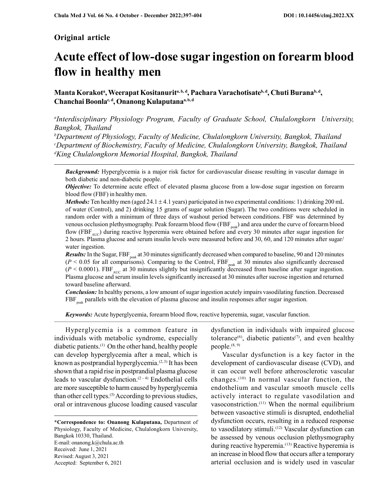# Original article

# Acute effect of low-dose sugar ingestion on forearm blood flow in healthy men

Manta Korakotª, Weerapat Kositanuritª, b, d, Pachara Varachotisate<sup>b, d</sup>, Chuti Burana<sup>b, d</sup>, Chanchai Boonla<sup>c, d</sup>, Onanong Kulaputana<sup>a, b, d</sup>

<sup>a</sup>Interdisciplinary Physiology Program, Faculty of Graduate School, Chulalongkorn University, Bangkok, Thailand

 $b$ Department of Physiology, Faculty of Medicine, Chulalongkorn University, Bangkok, Thailand <sup>c</sup>Department of Biochemistry, Faculty of Medicine, Chulalongkorn University, Bangkok, Thailand <sup>d</sup>King Chulalongkorn Memorial Hospital, Bangkok, Thailand

**Background:** Hyperglycemia is a major risk factor for cardiovascular disease resulting in vascular damage in both diabetic and non-diabetic people.

**Objective:** To determine acute effect of elevated plasma glucose from a low-dose sugar ingestion on forearm blood flow (FBF) in healthy men.

*Methods:* Ten healthy men (aged 24.1  $\pm$  4.1 years) participated in two experimental conditions: 1) drinking 200 mL of water (Control), and 2) drinking 15 grams of sugar solution (Sugar). The two conditions were scheduled in random order with a minimum of three days of washout period between conditions. FBF was determined by venous occlusion plethysmography. Peak forearm blood flow (FBF<sub>peak</sub>) and area under the curve of forearm blood flow (FBF<sub>AUC</sub>) during reactive hyperemia were obtained before and every 30 minutes after sugar ingestion for 2 hours. Plasma glucose and serum insulin levels were measured before and 30, 60, and 120 minutes after sugar/ water ingestion.

**Results:** In the Sugar,  $FBF_{peak}$  at 30 minutes significantly decreased when compared to baseline, 90 and 120 minutes  $(P < 0.05$  for all comparisons). Comparing to the Control, FBF<sub>peak</sub> at 30 minutes also significantly decreased  $(P < 0.0001)$ . FBF<sub>AUC</sub> at 30 minutes slightly but insignificantly decreased from baseline after sugar ingestion. Plasma glucose and serum insulin levels significantly increased at 30 minutes after sucrose ingestion and returned toward baseline afterward.

Conclusion: In healthy persons, a low amount of sugar ingestion acutely impairs vasodilating function. Decreased  $FBF_{\text{peak}}$  parallels with the elevation of plasma glucose and insulin responses after sugar ingestion.

Keywords: Acute hyperglycemia, forearm blood flow, reactive hyperemia, sugar, vascular function.

Hyperglycemia is a common feature in individuals with metabolic syndrome, especially diabetic patients.(1) On the other hand, healthy people can develop hyperglycemia after a meal, which is known as postprandial hyperglycemia. $(2, 3)$  It has been shown that a rapid rise in postprandial plasma glucose leads to vascular dysfunction. $(2 - 4)$  Endothelial cells are more susceptible to harm caused by hyperglycemia than other cell types.(5) According to previous studies, oral or intravenous glucose loading caused vascular

\*Correspondence to: Onanong Kulaputana, Department of Physiology, Faculty of Medicine, Chulalongkorn University, Bangkok 10330, Thailand. E-mail: onanong.k@chula.ac.th Received: June 1, 2021 Revised: August 3, 2021 Accepted: September 6, 2021

dysfunction in individuals with impaired glucose tolerance<sup>(6)</sup>, diabetic patients<sup> $(7)$ </sup>, and even healthy people.<sup>(8, 9)</sup>

Vascular dysfunction is a key factor in the development of cardiovascular disease (CVD), and it can occur well before atherosclerotic vascular changes.(10) In normal vascular function, the endothelium and vascular smooth muscle cells actively interact to regulate vasodilation and vasoconstriction.(11) When the normal equilibrium between vasoactive stimuli is disrupted, endothelial dysfunction occurs, resulting in a reduced response to vasodilatory stimuli.<sup>(12)</sup> Vascular dysfunction can be assessed by venous occlusion plethysmography during reactive hyperemia.<sup>(13)</sup> Reactive hyperemia is an increase in blood flow that occurs after a temporary arterial occlusion and is widely used in vascular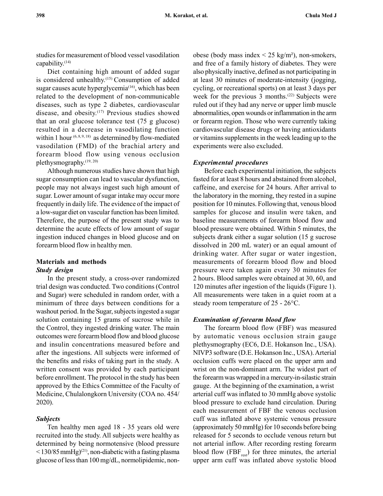studies for measurement of blood vessel vasodilation capability.(14)

Diet containing high amount of added sugar is considered unhealthy.<sup>(15)</sup> Consumption of added sugar causes acute hyperglycemia<sup> $(16)$ </sup>, which has been related to the development of non-communicable diseases, such as type 2 diabetes, cardiovascular disease, and obesity.<sup>(17)</sup> Previous studies showed that an oral glucose tolerance test (75 g glucose) resulted in a decrease in vasodilating function within 1 hour  $(6, 8, 9, 18)$  as determined by flow-mediated vasodilation (FMD) of the brachial artery and forearm blood flow using venous occlusion plethysmography.(19, 20)

Although numerous studies have shown that high sugar consumption can lead to vascular dysfunction, people may not always ingest such high amount of sugar. Lower amount of sugar intake may occur more frequently in daily life. The evidence of the impact of a low-sugar diet on vascular function has been limited. Therefore, the purpose of the present study was to determine the acute effects of low amount of sugar ingestion induced changes in blood glucose and on forearm blood flow in healthy men.

# Materials and methods Study design

In the present study, a cross-over randomized trial design was conducted. Two conditions (Control and Sugar) were scheduled in random order, with a minimum of three days between conditions for a washout period. In the Sugar, subjects ingested a sugar solution containing 15 grams of sucrose while in the Control, they ingested drinking water. The main outcomes were forearm blood flow and blood glucose and insulin concentrations measured before and after the ingestions. All subjects were informed of the benefits and risks of taking part in the study. A written consent was provided by each participant before enrollment. The protocol in the study has been approved by the Ethics Committee of the Faculty of Medicine, Chulalongkorn University (COA no. 454/ 2020).

# Subjects

Ten healthy men aged 18 - 35 years old were recruited into the study. All subjects were healthy as determined by being normotensive (blood pressure  $\langle 130/85 \text{ mmHg} \rangle^{(21)}$ , non-diabetic with a fasting plasma glucose of less than 100 mg/dL, normolipidemic, nonobese (body mass index  $\leq$  25 kg/m<sup>2</sup>), non-smokers, and free of a family history of diabetes. They were also physically inactive, defined as not participating in at least 30 minutes of moderate-intensity (jogging, cycling, or recreational sports) on at least 3 days per week for the previous 3 months.<sup>(22)</sup> Subjects were ruled out if they had any nerve or upper limb muscle abnormalities, open wounds or inflammation in the arm or forearm region. Those who were currently taking cardiovascular disease drugs or having antioxidants or vitamins supplements in the week leading up to the experiments were also excluded.

# Experimental procedures

Before each experimental initiation, the subjects fasted for at least 8 hours and abstained from alcohol, caffeine, and exercise for 24 hours. After arrival to the laboratory in the morning, they rested in a supine position for 10 minutes. Following that, venous blood samples for glucose and insulin were taken, and baseline measurements of forearm blood flow and blood pressure were obtained. Within 5 minutes, the subjects drank either a sugar solution (15 g sucrose dissolved in 200 mL water) or an equal amount of drinking water. After sugar or water ingestion, measurements of forearm blood flow and blood pressure were taken again every 30 minutes for 2 hours. Blood samples were obtained at 30, 60, and 120 minutes after ingestion of the liquids (Figure 1). All measurements were taken in a quiet room at a steady room temperature of  $25 - 26$ °C.

# Examination of forearm blood flow

The forearm blood flow (FBF) was measured by automatic venous occlusion strain gauge plethysmography (EC6, D.E. Hokanson Inc., USA). NIVP3 software (D.E. Hokanson Inc., USA). Arterial occlusion cuffs were placed on the upper arm and wrist on the non-dominant arm. The widest part of the forearm was wrapped in a mercury-in-silastic strain gauge. At the beginning of the examination, a wrist arterial cuff was inflated to 30 mmHg above systolic blood pressure to exclude hand circulation. During each measurement of FBF the venous occlusion cuff was inflated above systemic venous pressure (approximately 50 mmHg) for 10 seconds before being released for 5 seconds to occlude venous return but not arterial inflow. After recording resting forearm blood flow (FBF $_{rest}$ ) for three minutes, the arterial upper arm cuff was inflated above systolic blood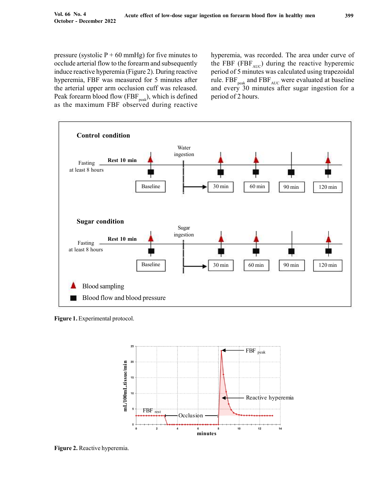pressure (systolic  $P + 60$  mmHg) for five minutes to occlude arterial flow to the forearm and subsequently induce reactive hyperemia (Figure 2). During reactive hyperemia, FBF was measured for 5 minutes after the arterial upper arm occlusion cuff was released. Peak forearm blood flow (FBF $_{peak}$ ), which is defined as the maximum FBF observed during reactive hyperemia, was recorded. The area under curve of the FBF (FBF $_{AUC}$ ) during the reactive hyperemic period of 5 minutes was calculated using trapezoidal rule.  $FBF_{peak}$  and  $FBF_{AUC}$  were evaluated at baseline and every 30 minutes after sugar ingestion for a period of 2 hours.



Figure 1. Experimental protocol.



Figure 2. Reactive hyperemia.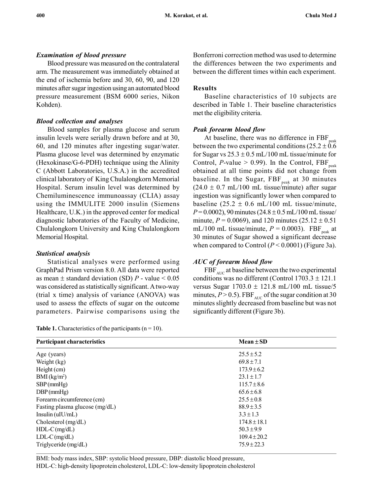# Examination of blood pressure

Blood pressure was measured on the contralateral arm. The measurement was immediately obtained at the end of ischemia before and 30, 60, 90, and 120 minutes after sugar ingestion using an automated blood pressure measurement (BSM 6000 series, Nikon Kohden).

# Blood collection and analyses

Blood samples for plasma glucose and serum insulin levels were serially drawn before and at 30, 60, and 120 minutes after ingesting sugar/water. Plasma glucose level was determined by enzymatic (Hexokinase/G-6-PDH) technique using the Alinity C (Abbott Laboratories, U.S.A.) in the accredited clinical laboratory of King Chulalongkorn Memorial Hospital. Serum insulin level was determined by Chemiluminescence immunoassay (CLIA) assay using the IMMULITE 2000 insulin (Siemens Healthcare, U.K.) in the approved center for medical diagnostic laboratories of the Faculty of Medicine, Chulalongkorn University and King Chulalongkorn Memorial Hospital.

# Statistical analysis

Statistical analyses were performed using GraphPad Prism version 8.0. All data were reported as mean  $\pm$  standard deviation (SD) P - value < 0.05 was considered as statistically significant. A two-way (trial x time) analysis of variance (ANOVA) was used to assess the effects of sugar on the outcome parameters. Pairwise comparisons using the

|  | <b>Table 1.</b> Characteristics of the participants ( $n = 10$ ). |  |  |  |  |  |
|--|-------------------------------------------------------------------|--|--|--|--|--|
|--|-------------------------------------------------------------------|--|--|--|--|--|

Bonferroni correction method was used to determine the differences between the two experiments and between the different times within each experiment.

# Results

Baseline characteristics of 10 subjects are described in Table 1. Their baseline characteristics met the eligibility criteria.

# Peak forearm blood flow

At baseline, there was no difference in  $FBF_{peak}$ between the two experimental conditions ( $25.2 \pm 0.6$ ) for Sugar vs  $25.3 \pm 0.5$  mL/100 mL tissue/minute for Control, P-value > 0.99). In the Control,  $FBF_{peak}$ obtained at all time points did not change from baseline. In the Sugar,  $FBF_{peak}$  at 30 minutes  $(24.0 \pm 0.7 \text{ mL}/100 \text{ mL}$  tissue/minute) after sugar ingestion was significantly lower when compared to baseline  $(25.2 \pm 0.6 \text{ mL}/100 \text{ mL}$  tissue/minute,  $P = 0.0002$ , 90 minutes (24.8 ± 0.5 mL/100 mL tissue/ minute,  $P = 0.0069$ ), and 120 minutes (25.12  $\pm$  0.51 mL/100 mL tissue/minute,  $P = 0.0003$ ). FBF<sub>peak</sub> at 30 minutes of Sugar showed a significant decrease when compared to Control  $(P < 0.0001)$  (Figure 3a).

# AUC of forearm blood flow

 $FBF<sub>AUC</sub>$  at baseline between the two experimental conditions was no different (Control  $1703.3 \pm 121.1$ ) versus Sugar  $1703.0 \pm 121.8$  mL/100 mL tissue/5 minutes,  $P > 0.5$ ). FBF<sub>AUC</sub> of the sugar condition at 30 minutes slightly decreased from baseline but was not significantly different (Figure 3b).

| Participant characteristics    | $Mean \pm SD$    |  |
|--------------------------------|------------------|--|
| Age (years)                    | $25.5 \pm 5.2$   |  |
| Weight (kg)                    | $69.8 \pm 7.1$   |  |
| $Height$ (cm)                  | $173.9 \pm 6.2$  |  |
| BMI (kg/m <sup>2</sup> )       | $23.1 \pm 1.7$   |  |
| $SBP$ (mmHg)                   | $115.7 \pm 8.6$  |  |
| $DBP$ (mmHg)                   | $65.6 \pm 6.8$   |  |
| Forearm circumference (cm)     | $25.5 \pm 0.8$   |  |
| Fasting plasma glucose (mg/dL) | $88.9 \pm 3.5$   |  |
| Insulin $(uIU/mL)$             | $3.3 \pm 1.3$    |  |
| Cholesterol $(mg/dL)$          | $174.8 \pm 18.1$ |  |
| $HDL-C$ (mg/dL)                | $50.3 \pm 9.9$   |  |
| $LDL-C$ (mg/dL)                | $109.4 \pm 20.2$ |  |
| Triglyceride $(mg/dL)$         | $75.9 \pm 22.3$  |  |

BMI: body mass index, SBP: systolic blood pressure, DBP: diastolic blood pressure, HDL-C: high-density lipoprotein cholesterol, LDL-C: low-density lipoprotein cholesterol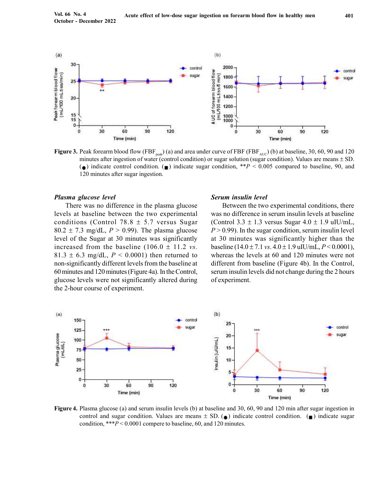

**Figure 3.** Peak forearm blood flow (FBF<sub>neak</sub>) (a) and area under curve of FBF (FBF<sub>AUC</sub>) (b) at baseline, 30, 60, 90 and 120 minutes after ingestion of water (control condition) or sugar solution (sugar condition). Values are means  $\pm$  SD. (a) indicate control condition. (a) indicate sugar condition,  $*P < 0.005$  compared to baseline, 90, and 120 minutes after sugar ingestion.

#### Plasma glucose level

There was no difference in the plasma glucose levels at baseline between the two experimental conditions (Control 78.8  $\pm$  5.7 versus Sugar 80.2  $\pm$  7.3 mg/dL,  $P > 0.99$ ). The plasma glucose level of the Sugar at 30 minutes was significantly increased from the baseline  $(106.0 \pm 11.2 \text{ vs.})$ 81.3  $\pm$  6.3 mg/dL,  $P < 0.0001$ ) then returned to non-significantly different levels from the baseline at 60 minutes and 120 minutes (Figure 4a). In the Control, glucose levels were not significantly altered during the 2-hour course of experiment.

#### Serum insulin level

Between the two experimental conditions, there was no difference in serum insulin levels at baseline (Control 3.3  $\pm$  1.3 versus Sugar 4.0  $\pm$  1.9 uIU/mL,  $P > 0.99$ ). In the sugar condition, serum insulin level at 30 minutes was significantly higher than the baseline (14.0  $\pm$  7.1 vs. 4.0  $\pm$  1.9 uIU/mL, P < 0.0001), whereas the levels at 60 and 120 minutes were not different from baseline (Figure 4b). In the Control, serum insulin levels did not change during the 2 hours of experiment.



Figure 4. Plasma glucose (a) and serum insulin levels (b) at baseline and 30, 60, 90 and 120 min after sugar ingestion in control and sugar condition. Values are means  $\pm$  SD. (a) indicate control condition. (a) indicate sugar condition, \*\*\*P < 0.0001 compere to baseline, 60, and 120 minutes.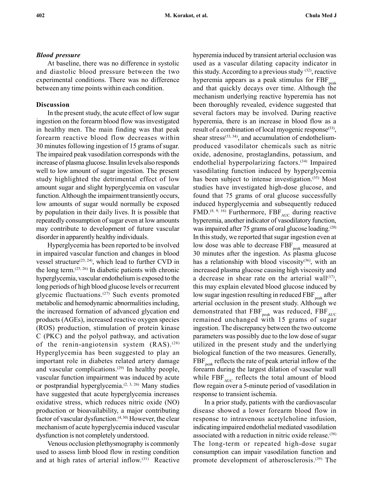#### Blood pressure

At baseline, there was no difference in systolic and diastolic blood pressure between the two experimental conditions. There was no difference between any time points within each condition.

#### Discussion

In the present study, the acute effect of low sugar ingestion on the forearm blood flow was investigated in healthy men. The main finding was that peak forearm reactive blood flow decreases within 30 minutes following ingestion of 15 grams of sugar. The impaired peak vasodilation corresponds with the increase of plasma glucose. Insulin levels also responds well to low amount of sugar ingestion. The present study highlighted the detrimental effect of low amount sugar and slight hyperglycemia on vascular function. Although the impairment transiently occurs, low amounts of sugar would normally be exposed by population in their daily lives. It is possible that repeatedly consumption of sugar even at low amounts may contribute to development of future vascular disorder in apparently healthy individuals.

Hyperglycemia has been reported to be involved in impaired vascular function and changes in blood vessel structure<sup>(23, 24)</sup>, which lead to further CVD in the long term. $(25, 26)$  In diabetic patients with chronic hyperglycemia, vascular endothelium is exposed to the long periods of high blood glucose levels or recurrent glycemic fluctuations.(27) Such events promoted metabolic and hemodynamic abnormalities including, the increased formation of advanced glycation end products (AGEs), increased reactive oxygen species (ROS) production, stimulation of protein kinase C (PKC) and the polyol pathway, and activation of the renin-angiotensin system (RAS).<sup>(28)</sup> Hyperglycemia has been suggested to play an important role in diabetes related artery damage and vascular complications. $(29)$  In healthy people, vascular function impairment was induced by acute or postprandial hyperglycemia.(2, 3, 26) Many studies have suggested that acute hyperglycemia increases oxidative stress, which reduces nitric oxide (NO) production or bioavailability, a major contributing factor of vascular dysfunction.<sup>(4, 30)</sup> However, the clear mechanism of acute hyperglycemia induced vascular dysfunction is not completely understood.

Venous occlusion plethysmography is commonly used to assess limb blood flow in resting condition and at high rates of arterial inflow.(31) Reactive

hyperemia induced by transient arterial occlusion was used as a vascular dilating capacity indicator in this study. According to a previous study  $(32)$ , reactive hyperemia appears as a peak stimulus for  $FBF_{peak}$ and that quickly decays over time. Although the mechanism underlying reactive hyperemia has not been thoroughly revealed, evidence suggested that several factors may be involved. During reactive hyperemia, there is an increase in blood flow as a result of a combination of local myogenic response<sup>(33)</sup>, shear stress<sup>(33, 34)</sup>, and accumulation of endotheliumproduced vasodilator chemicals such as nitric oxide, adenosine, prostaglandins, potassium, and endothelial hyperpolarizing factors.(34) Impaired vasodilating function induced by hyperglycemia has been subject to intense investigation.<sup>(35)</sup> Most studies have investigated high-dose glucose, and found that 75 grams of oral glucose successfully induced hyperglycemia and subsequently reduced FMD.<sup>(8, 9, 16)</sup> Furthermore,  $FBF<sub>AUC</sub>$  during reactive hyperemia, another indicator of vasodilatory function, was impaired after 75 grams of oral glucose loading.<sup>(20)</sup> In this study, we reported that sugar ingestion even at low dose was able to decrease  $FBF_{peak}$  measured at 30 minutes after the ingestion. As plasma glucose has a relationship with blood viscosity $(36)$ , with an increased plasma glucose causing high viscosity and a decrease in shear rate on the arterial wall $(37)$ , this may explain elevated blood glucose induced by low sugar ingestion resulting in reduced  $FBF_{peak}$  after arterial occlusion in the present study. Although we demonstrated that  $\rm {FBF_{\mu a k}}$  was reduced,  $\rm {FBF_{\scriptscriptstyle AUC}}$ remained unchanged with 15 grams of sugar ingestion. The discrepancy between the two outcome parameters was possibly due to the low dose of sugar utilized in the present study and the underlying biological function of the two measures. Generally,  $FBF_{peak}$  reflects the rate of peak arterial inflow of the forearm during the largest dilation of vascular wall while  $FBF<sub>AUC</sub>$  reflects the total amount of blood flow regain over a 5-minute period of vasodilation in response to transient ischemia.

In a prior study, patients with the cardiovascular disease showed a lower forearm blood flow in response to intravenous acetylcholine infusion, indicating impaired endothelial mediated vasodilation associated with a reduction in nitric oxide release.(38) The long-term or repeated high-dose sugar consumption can impair vasodilation function and promote development of atherosclerosis.(39) The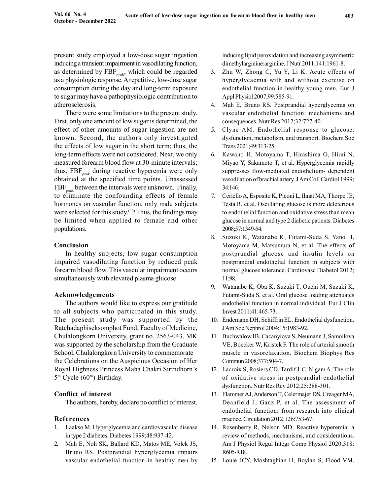present study employed a low-dose sugar ingestion inducing a transient impairment in vasodilating function, as determined by  $FBF_{peak}$ , which could be regarded as a physiologic response. A repetitive, low-dose sugar consumption during the day and long-term exposure to sugar may have a pathophysiologic contribution to atherosclerosis.

There were some limitations to the present study. First, only one amount of low sugar is determined, the effect of other amounts of sugar ingestion are not known. Second, the authors only investigated the effects of low sugar in the short term; thus, the long-term effects were not considered. Next, we only measured forearm blood flow at 30-minute intervals; thus,  $FBF_{peak}$  during reactive hyperemia were only obtained at the specified time points. Unassessed  $FBF_{peak}$  between the intervals were unknown. Finally, to eliminate the confounding effects of female hormones on vascular function, only male subjects were selected for this study.<sup>(40)</sup> Thus, the findings may be limited when applied to female and other populations.

# Conclusion

In healthy subjects, low sugar consumption impaired vasodilating function by reduced peak forearm blood flow. This vascular impairment occurs simultaneously with elevated plasma glucose.

# Acknowledgements

The authors would like to express our gratitude to all subjects who participated in this study. The present study was supported by the Ratchadaphiseksomphot Fund, Faculty of Medicine, Chulalongkorn University, grant no. 2563-043. MK was supported by the scholarship from the Graduate School, Chulalongkorn University to commemorate the Celebrations on the Auspicious Occasion of Her Royal Highness Princess Maha Chakri Sirindhorn's 5<sup>th</sup> Cycle (60<sup>th</sup>) Birthday.

# Conflict of interest

The authors, hereby, declare no conflict of interest.

# References

- 1. Laakso M. Hyperglycemia and cardiovascular disease in type 2 diabetes. Diabetes 1999;48:937-42.
- 2. Mah E, Noh SK, Ballard KD, Matos ME, Volek JS, Bruno RS. Postprandial hyperglycemia impairs vascular endothelial function in healthy men by

inducing lipid peroxidation and increasing asymmetric dimethylarginine:arginine. J Nutr 2011;141:1961-8.

- 3. Zhu W, Zhong C, Yu Y, Li K. Acute effects of hyperglycaemia with and without exercise on endothelial function in healthy young men. Eur J Appl Physiol 2007;99:585-91.
- 4. Mah E, Bruno RS. Postprandial hyperglycemia on vascular endothelial function: mechanisms and consequences. Nutr Res 2012;32:727-40.
- 5. Clyne AM. Endothelial response to glucose: dysfunction, metabolism, and transport. Biochem Soc Trans 2021;49:313-25.
- 6. Kawano H, Motoyama T, Hirashima O, Hirai N, Miyao Y, Sakamoto T, et al. Hyperglycemia rapidly suppresses flow-mediated endothelium- dependent vasodilation of brachial artery. J Am Coll Cardiol 1999; 34:146.
- 7. Ceriello A, Esposito K, Piconi L, Ihnat MA, Thorpe JE, Testa R, et al. Oscillating glucose is more deleterious to endothelial function and oxidative stress than mean glucose in normal and type 2 diabetic patients. Diabetes 2008;57:1349-54.
- 8. Suzuki K, Watanabe K, Futami-Suda S, Yano H, Motoyama M, Matsumura N, et al. The effects of postprandial glucose and insulin levels on postprandial endothelial function in subjects with normal glucose tolerance. Cardiovasc Diabetol 2012; 11:98.
- 9. Watanabe K, Oba K, Suzuki T, Ouchi M, Suzuki K, Futami-Suda S, et al. Oral glucose loading attenuates endothelial function in normal individual. Eur J Clin Invest 2011;41:465-73.
- 10. Endemann DH, Schiffrin EL. Endothelial dysfunction. J Am Soc Nephrol 2004;15:1983-92.
- 11. Buchwalow IB, Cacanyiova S, Neumann J, Samoilova VE, Boecker W, Kristek F. The role of arterial smooth muscle in vasorelaxation. Biochem Biophys Res Commun 2008;377:504-7.
- 12. Lacroix S, Rosiers CD, Tardif J-C, Nigam A. The role of oxidative stress in postprandial endothelial dysfunction. Nutr Res Rev 2012;25:288-301.
- 13. Flammer AJ, Anderson T, Celermajer DS, Creager MA, Deanfield J, Ganz P, et al. The assessment of endothelial function: from research into clinical practice. Circulation 2012;126:753-67.
- 14. Rosenberry R, Nelson MD. Reactive hyperemia: a review of methods, mechanisms, and considerations. Am J Physiol Regul Integr Comp Physiol 2020;318: R605-R18.
- 15. Louie JCY, Moshtaghian H, Boylan S, Flood VM,